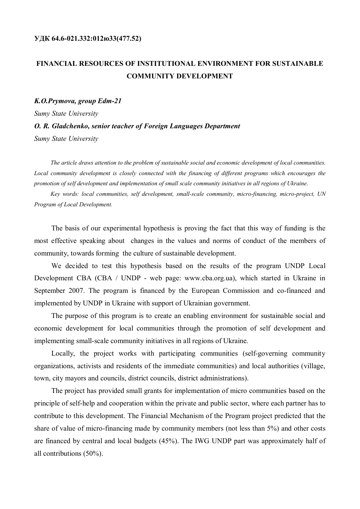## **FINANCIAL RESOURCES OF INSTITUTIONAL ENVIRONMENT FOR SUSTAINABLE COMMUNITY DEVELOPMENT**

## *K.O.Prymova, group Edm-21 Sumy State University O. R. Gladchenko, senior teacher of Foreign Languages Department*

*Sumy State University*

*The article draws attention to the problem of sustainable social and economic development of local communities. Local community development is closely connected with the financing of different programs which encourages the promotion of self development and implementation of small scale community initiatives in all regions of Ukraine.*

*Key words: local communities, self development, small-scale community, micro-financing, micro-project, UN Program of Local Development.*

The basis of our experimental hypothesis is proving the fact that this way of funding is the most effective speaking about changes in the values and norms of conduct of the members of community, towards forming the culture of sustainable development.

We decided to test this hypothesis based on the results of the program UNDP Local Development CBA (CBA / UNDP - web page: www.cba.org.ua), which started in Ukraine in September 2007. The program is financed by the European Commission and co-financed and implemented by UNDP in Ukraine with support of Ukrainian government.

The purpose of this program is to create an enabling environment for sustainable social and economic development for local communities through the promotion of self development and implementing small-scale community initiatives in all regions of Ukraine.

Locally, the project works with participating communities (self-governing community organizations, activists and residents of the immediate communities) and local authorities (village, town, city mayors and councils, district councils, district administrations).

The project has provided small grants for implementation of micro communities based on the principle of self-help and cooperation within the private and public sector, where each partner has to contribute to this development. The Financial Mechanism of the Program project predicted that the share of value of micro-financing made by community members (not less than 5%) and other costs are financed by central and local budgets (45%). The IWG UNDP part was approximately half of all contributions (50%).